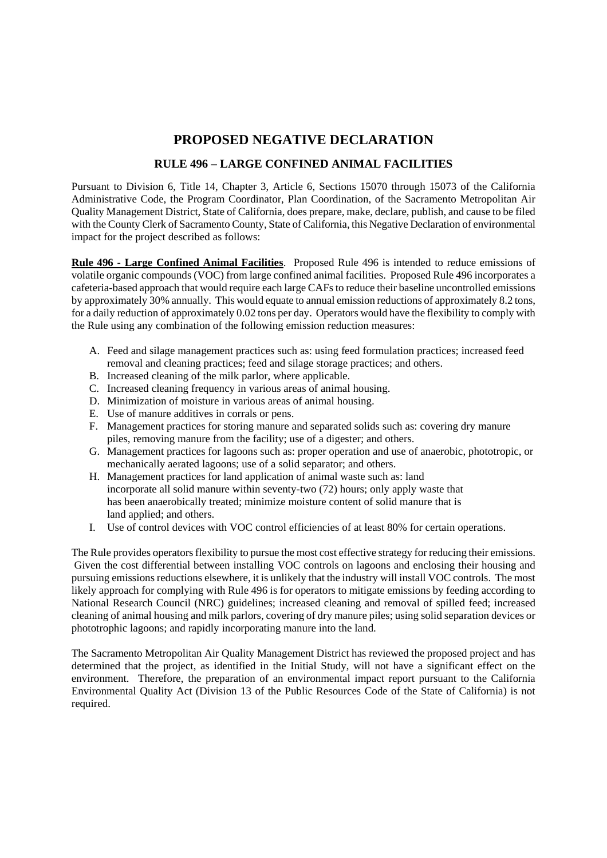## **PROPOSED NEGATIVE DECLARATION**

## **RULE 496 – LARGE CONFINED ANIMAL FACILITIES**

Pursuant to Division 6, Title 14, Chapter 3, Article 6, Sections 15070 through 15073 of the California Administrative Code, the Program Coordinator, Plan Coordination, of the Sacramento Metropolitan Air Quality Management District, State of California, does prepare, make, declare, publish, and cause to be filed with the County Clerk of Sacramento County, State of California, this Negative Declaration of environmental impact for the project described as follows:

**Rule 496 - Large Confined Animal Facilities**. Proposed Rule 496 is intended to reduce emissions of volatile organic compounds (VOC) from large confined animal facilities. Proposed Rule 496 incorporates a cafeteria-based approach that would require each large CAFs to reduce their baseline uncontrolled emissions by approximately 30% annually. This would equate to annual emission reductions of approximately 8.2 tons, for a daily reduction of approximately 0.02 tons per day. Operators would have the flexibility to comply with the Rule using any combination of the following emission reduction measures:

- A. Feed and silage management practices such as: using feed formulation practices; increased feed removal and cleaning practices; feed and silage storage practices; and others.
- B. Increased cleaning of the milk parlor, where applicable.
- C. Increased cleaning frequency in various areas of animal housing.
- D. Minimization of moisture in various areas of animal housing.
- E. Use of manure additives in corrals or pens.
- F. Management practices for storing manure and separated solids such as: covering dry manure piles, removing manure from the facility; use of a digester; and others.
- G. Management practices for lagoons such as: proper operation and use of anaerobic, phototropic, or mechanically aerated lagoons; use of a solid separator; and others.
- H. Management practices for land application of animal waste such as: land incorporate all solid manure within seventy-two (72) hours; only apply waste that has been anaerobically treated; minimize moisture content of solid manure that is land applied; and others.
- I. Use of control devices with VOC control efficiencies of at least 80% for certain operations.

The Rule provides operators flexibility to pursue the most cost effective strategy for reducing their emissions. Given the cost differential between installing VOC controls on lagoons and enclosing their housing and pursuing emissions reductions elsewhere, it is unlikely that the industry will install VOC controls. The most likely approach for complying with Rule 496 is for operators to mitigate emissions by feeding according to National Research Council (NRC) guidelines; increased cleaning and removal of spilled feed; increased cleaning of animal housing and milk parlors, covering of dry manure piles; using solid separation devices or phototrophic lagoons; and rapidly incorporating manure into the land.

The Sacramento Metropolitan Air Quality Management District has reviewed the proposed project and has determined that the project, as identified in the Initial Study, will not have a significant effect on the environment. Therefore, the preparation of an environmental impact report pursuant to the California Environmental Quality Act (Division 13 of the Public Resources Code of the State of California) is not required.